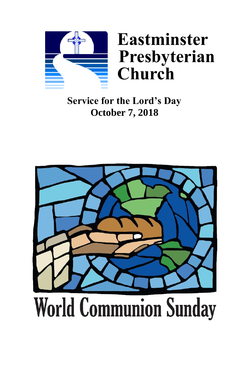

# **Service for the Lord's Day October 7, 2018**

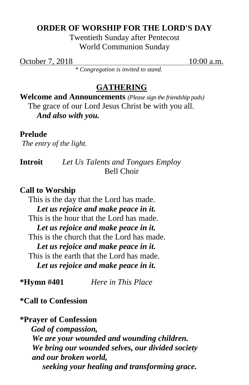## **ORDER OF WORSHIP FOR THE LORD'S DAY**

Twentieth Sunday after Pentecost World Communion Sunday

October 7, 2018 10:00 a.m.

*\* Congregation is invited to stand.* 

## **GATHERING**

**Welcome and Announcements** *(Please sign the friendship pads)* The grace of our Lord Jesus Christ be with you all. *And also with you.*

## **Prelude**

*The entry of the light.*

**Introit** *Let Us Talents and Tongues Employ* Bell Choir

## **Call to Worship**

This is the day that the Lord has made. *Let us rejoice and make peace in it.* This is the hour that the Lord has made. *Let us rejoice and make peace in it.* This is the church that the Lord has made. *Let us rejoice and make peace in it.* This is the earth that the Lord has made. *Let us rejoice and make peace in it.*

**\*Hymn #401** *Here in This Place*

## **\*Call to Confession**

## **\*Prayer of Confession**

 *God of compassion, We are your wounded and wounding children. We bring our wounded selves, our divided society and our broken world, seeking your healing and transforming grace.*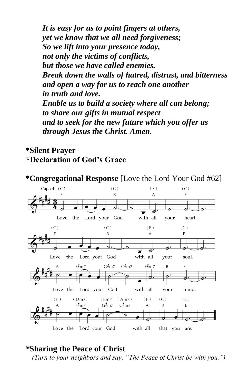*It is easy for us to point fingers at others, yet we know that we all need forgiveness; So we lift into your presence today, not only the victims of conflicts, but those we have called enemies. Break down the walls of hatred, distrust, and bitterness and open a way for us to reach one another in truth and love. Enable us to build a society where all can belong; to share our gifts in mutual respect and to seek for the new future which you offer us through Jesus the Christ. Amen.*

## **\*Silent Prayer \*Declaration of God's Grace**



## *\****Sharing the Peace of Christ**

*(Turn to your neighbors and say, "The Peace of Christ be with you.")*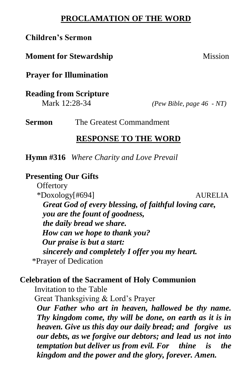## **PROCLAMATION OF THE WORD**

## **Children's Sermon**

## **Moment for Stewardship Mission**

**Prayer for Illumination**

**Reading from Scripture**

Mark 12:28-34 *(Pew Bible, page 46 - NT)*

**Sermon The Greatest Commandment** 

### **RESPONSE TO THE WORD**

**Hymn #316** *Where Charity and Love Prevail*

## **Presenting Our Gifts**

**Offertory** \*Doxology[#694] AURELIA  *Great God of every blessing, of faithful loving care, you are the fount of goodness, the daily bread we share. How can we hope to thank you? Our praise is but a start: sincerely and completely I offer you my heart.* \*Prayer of Dedication

### **Celebration of the Sacrament of Holy Communion**

Invitation to the Table

Great Thanksgiving & Lord's Prayer

*Our Father who art in heaven, hallowed be thy name. Thy kingdom come, thy will be done, on earth as it is in heaven. Give us this day our daily bread; and forgive us our debts, as we forgive our debtors; and lead us not into temptation but deliver us from evil. For thine is the kingdom and the power and the glory, forever. Amen.*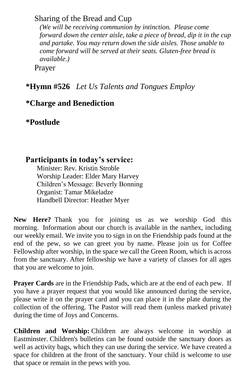## Sharing of the Bread and Cup

*(We will be receiving communion by intinction. Please come forward down the center aisle, take a piece of bread, dip it in the cup and partake. You may return down the side aisles. Those unable to come forward will be served at their seats. Gluten-free bread is available.)*

Prayer

## **\*Hymn #526** *Let Us Talents and Tongues Employ*

## **\*Charge and Benediction**

**\*Postlude** 

## **Participants in today's service:**

Minister: Rev. Kristin Stroble Worship Leader: Elder Mary Harvey Children's Message: Beverly Bonning Organist: Tamar Mikeladze Handbell Director: Heather Myer

**New Here?** Thank you for joining us as we worship God this morning. Information about our church is available in the narthex, including our weekly email. We invite you to sign in on the Friendship pads found at the end of the pew, so we can greet you by name. Please join us for Coffee Fellowship after worship, in the space we call the Green Room, which is across from the sanctuary. After fellowship we have a variety of classes for all ages that you are welcome to join.

**Prayer Cards** are in the Friendship Pads, which are at the end of each pew. If you have a prayer request that you would like announced during the service, please write it on the prayer card and you can place it in the plate during the collection of the offering. The Pastor will read them (unless marked private) during the time of Joys and Concerns.

**Children and Worship:** Children are always welcome in worship at Eastminster. Children's bulletins can be found outside the sanctuary doors as well as activity bags, which they can use during the service. We have created a space for children at the front of the sanctuary. Your child is welcome to use that space or remain in the pews with you.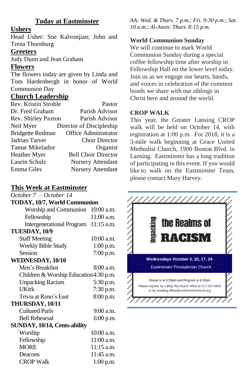### **Today at Eastminster**

#### **Ushers**

Head Usher: Sue Kalvonjian; John and Trena Thornburg

#### **Greeters**

Judy Dunn and Jean Graham

### **Flowers**

The flowers today are given by Linda and Tom Hardenbergh in honor of World Communion Day

#### **Church Leadership**

| Rev. Kristin Stroble    | Pastor                     |
|-------------------------|----------------------------|
| Dr. Fred Graham         | Parish Advisor             |
| Rev. Shirley Paxton     | Parish Advisor             |
| Neil Myer               | Director of Discipleship   |
| <b>Bridgette Redman</b> | Office Administrator       |
| Jadrian Tarver          | <b>Choir Director</b>      |
| Tamar Mikeladze         | Organist                   |
| Heather Myer            | <b>Bell Choir Director</b> |
| Laurin Schulz           | <b>Nursery Attendant</b>   |
| Emma Giles              | <b>Nursery Attendant</b>   |

#### **This Week at Eastminster**

| October 7 – October 14                 |             |  |
|----------------------------------------|-------------|--|
| TODAY, 10/7, World Communion           |             |  |
| Worship and Communion 10:00 a.m.       |             |  |
| Fellowship                             | 11:00 a.m.  |  |
| Intergenerational Program 11:15 a.m.   |             |  |
| TUESDAY, 10/9                          |             |  |
| <b>Staff Meeting</b>                   | 10:00 a.m.  |  |
| Weekly Bible Study                     | 1:00 p.m.   |  |
| Session                                | 7:00 p.m.   |  |
| WEDNESDAY, 10/10                       |             |  |
| Men's Breakfast                        | 8:00 a.m.   |  |
| Children & Worship Education 4:30 p.m. |             |  |
| <b>Unpacking Racism</b>                | 5:30 p.m.   |  |
| UKirk                                  | 7:30 p.m.   |  |
| Trivia at Reno's East                  | 8:00 p.m.   |  |
| THURSDAY, 10/11                        |             |  |
| <b>Cultured Purls</b>                  | 9:00 a.m.   |  |
| <b>Bell Rehearsal</b>                  | 6:00 p.m.   |  |
| SUNDAY, 10/14, Cents-ability           |             |  |
| Worship                                | 10:00 a.m.  |  |
| Fellowship                             | 11:00 a.m.  |  |
| <b>MORE</b>                            | 11:15 a.m.  |  |
| Deacons                                | 11:45 a.m.  |  |
| <b>CROP Walk</b>                       | $1:00$ p.m. |  |

*AA: Wed. & Thurs. 7 p.m.; Fri. 9:30 p.m.; Sat. 10 a.m.; Al-Anon: Thurs. 8:15 p.m.*

## **World Communion Sunday**

We will continue to mark World Communion Sunday during a special coffee fellowship time after worship in Fellowship Hall on the lower level today. Join us as we engage our hearts, hands, and voices in celebration of the common bonds we share with our siblings in Christ here and around the world.

#### **CROP WALK**

This year, the Greater Lansing CROP walk will be held on October 14, with registration at 1:00 p.m. For 2018, it is a 3-mile walk beginning at Grace United Methodist Church, 1900 Boston Blvd. in Lansing. Eastminster has a long tradition of participating in this event. If you would like to walk on the Eastminster Team, please contact Mary Harvey.

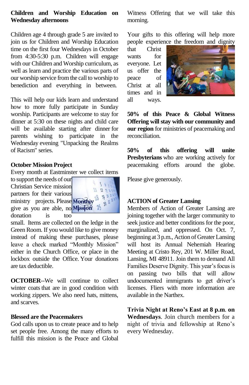#### **Children and Worship Education on Wednesday afternoons**

Children age 4 through grade 5 are invited to join us for Children and Worship Education time on the first four Wednesdays in October from 4:30-5:30 p.m. Children will engage with our Children and Worship curriculum, as well as learn and practice the various parts of our worship service from the call to worship to benediction and everything in between.

This will help our kids learn and understand how to more fully participate in Sunday worship. Participants are welcome to stay for dinner at 5:30 on these nights and child care will be available starting after dinner for parents wishing to participate in the Wednesday evening "Unpacking the Realms of Racism" series.

#### **October Mission Project**

Every month at Eastminster we collect items

to support the needs of our Christian Service mission partners for their various ministry projects. Please Monthiy<sup>18</sup> give as you are able, no Mission 25 donation is too



small. Items are collected on the ledge in the Green Room. If you would like to give money instead of making these purchases, please leave a check marked "Monthly Mission" either in the Church Office, or place in the lockbox outside the Office. Your donations are tax deductible.

**OCTOBER**--We will continue to collect winter coats that are in good condition with working zippers. We also need hats, mittens, and scarves.

#### **Blessed are the Peacemakers**

God calls upon us to create peace and to help set people free. Among the many efforts to fulfill this mission is the Peace and Global Witness Offering that we will take this morning.

Your gifts to this offering will help more people experience the freedom and dignity

that Christ wants for everyone. Let us offer the peace of Christ at all times and in all ways.



**50% of this Peace & Global Witness Offering will stay with our community and our region** for ministries of peacemaking and reconciliation.

**50% of this offering will unite Presbyterians** who are working actively for peacemaking efforts around the globe.

Please give generously.

#### **ACTION of Greater Lansing**

Members of Action of Greater Lansing are joining together with the larger community to seek justice and better conditions for the poor, marginalized, and oppressed. On Oct. 7, beginning at 3 p.m., Action of Greater Lansing will host its Annual Nehemiah Hearing Meeting at Cristo Rey, 201 W. Miller Road, Lansing, MI 48911. Join them to demand All Families Deserve Dignity. This year's focus is on passing two bills that will allow undocumented immigrants to get driver's licenses. Fliers with more information are available in the Narthex.

**Trivia Night at Reno's East at 8 p.m**. **on Wednesdays**. Join church members for a night of trivia and fellowship at Reno's every Wednesday.